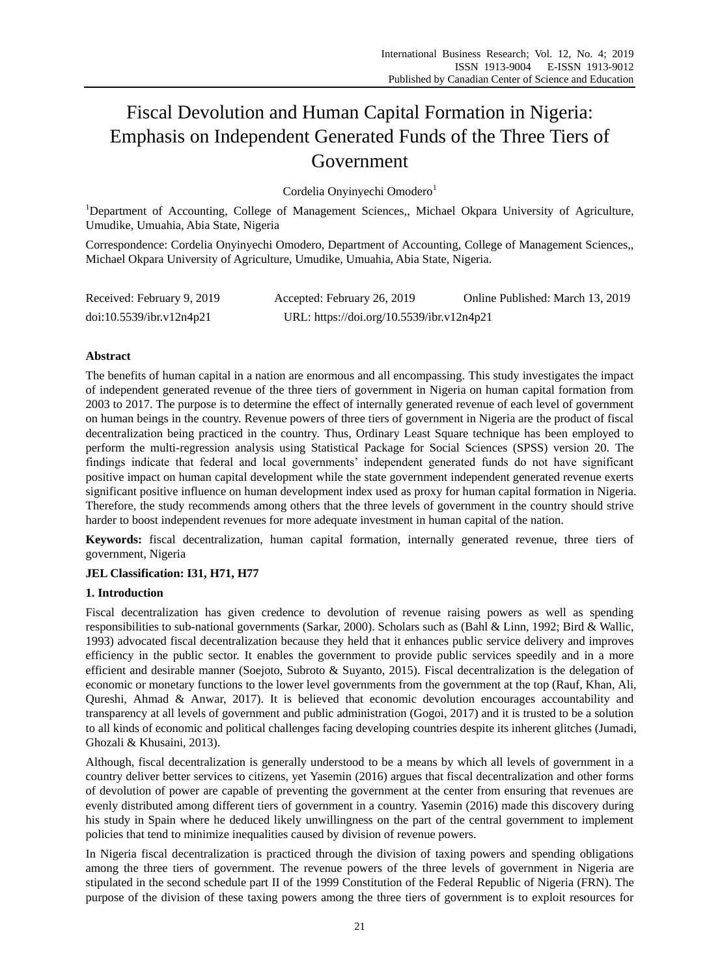# Fiscal Devolution and Human Capital Formation in Nigeria: Emphasis on Independent Generated Funds of the Three Tiers of Government

Cordelia Onyinyechi Omodero<sup>1</sup>

<sup>1</sup>Department of Accounting, College of Management Sciences,, Michael Okpara University of Agriculture, Umudike, Umuahia, Abia State, Nigeria

Correspondence: Cordelia Onyinyechi Omodero, Department of Accounting, College of Management Sciences,, Michael Okpara University of Agriculture, Umudike, Umuahia, Abia State, Nigeria.

| Received: February 9, 2019 | Accepted: February 26, 2019               | Online Published: March 13, 2019 |
|----------------------------|-------------------------------------------|----------------------------------|
| doi:10.5539/ibr.v12n4p21   | URL: https://doi.org/10.5539/ibr.v12n4p21 |                                  |

# **Abstract**

The benefits of human capital in a nation are enormous and all encompassing. This study investigates the impact of independent generated revenue of the three tiers of government in Nigeria on human capital formation from 2003 to 2017. The purpose is to determine the effect of internally generated revenue of each level of government on human beings in the country. Revenue powers of three tiers of government in Nigeria are the product of fiscal decentralization being practiced in the country. Thus, Ordinary Least Square technique has been employed to perform the multi-regression analysis using Statistical Package for Social Sciences (SPSS) version 20. The findings indicate that federal and local governments' independent generated funds do not have significant positive impact on human capital development while the state government independent generated revenue exerts significant positive influence on human development index used as proxy for human capital formation in Nigeria. Therefore, the study recommends among others that the three levels of government in the country should strive harder to boost independent revenues for more adequate investment in human capital of the nation.

**Keywords:** fiscal decentralization, human capital formation, internally generated revenue, three tiers of government, Nigeria

# **JEL Classification: I31, H71, H77**

# **1. Introduction**

Fiscal decentralization has given credence to devolution of revenue raising powers as well as spending responsibilities to sub-national governments (Sarkar, 2000). Scholars such as (Bahl & Linn, 1992; Bird & Wallic, 1993) advocated fiscal decentralization because they held that it enhances public service delivery and improves efficiency in the public sector. It enables the government to provide public services speedily and in a more efficient and desirable manner (Soejoto, Subroto & Suyanto, 2015). Fiscal decentralization is the delegation of economic or monetary functions to the lower level governments from the government at the top (Rauf, Khan, Ali, Qureshi, Ahmad & Anwar, 2017). It is believed that economic devolution encourages accountability and transparency at all levels of government and public administration (Gogoi, 2017) and it is trusted to be a solution to all kinds of economic and political challenges facing developing countries despite its inherent glitches (Jumadi, Ghozali & Khusaini, 2013).

Although, fiscal decentralization is generally understood to be a means by which all levels of government in a country deliver better services to citizens, yet Yasemin (2016) argues that fiscal decentralization and other forms of devolution of power are capable of preventing the government at the center from ensuring that revenues are evenly distributed among different tiers of government in a country. Yasemin (2016) made this discovery during his study in Spain where he deduced likely unwillingness on the part of the central government to implement policies that tend to minimize inequalities caused by division of revenue powers.

In Nigeria fiscal decentralization is practiced through the division of taxing powers and spending obligations among the three tiers of government. The revenue powers of the three levels of government in Nigeria are stipulated in the second schedule part II of the 1999 Constitution of the Federal Republic of Nigeria (FRN). The purpose of the division of these taxing powers among the three tiers of government is to exploit resources for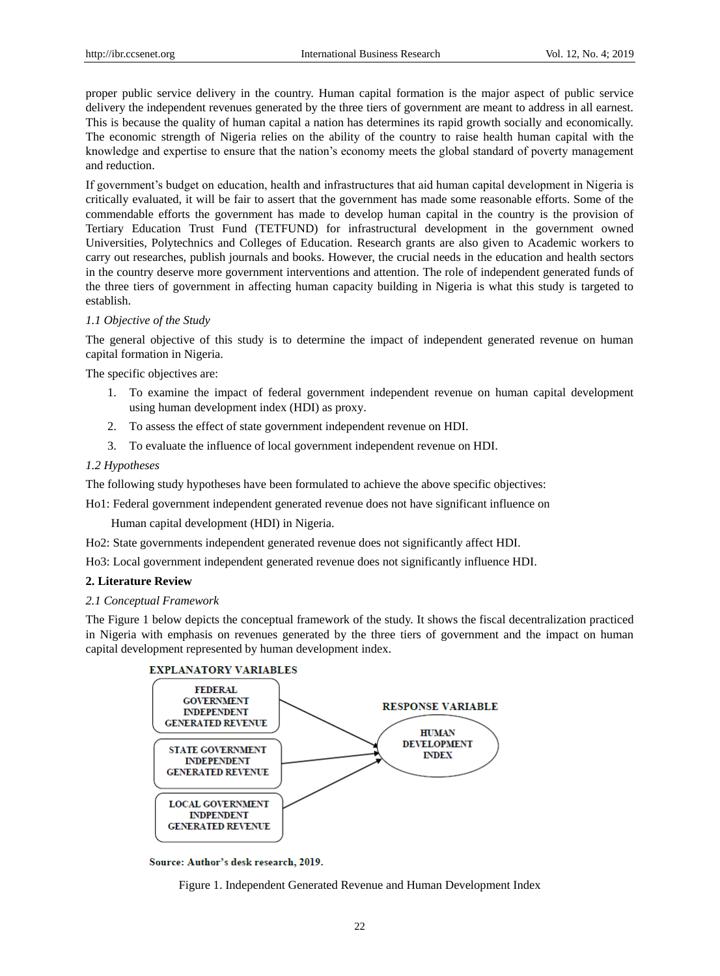proper public service delivery in the country. Human capital formation is the major aspect of public service delivery the independent revenues generated by the three tiers of government are meant to address in all earnest. This is because the quality of human capital a nation has determines its rapid growth socially and economically. The economic strength of Nigeria relies on the ability of the country to raise health human capital with the knowledge and expertise to ensure that the nation's economy meets the global standard of poverty management and reduction.

If government's budget on education, health and infrastructures that aid human capital development in Nigeria is critically evaluated, it will be fair to assert that the government has made some reasonable efforts. Some of the commendable efforts the government has made to develop human capital in the country is the provision of Tertiary Education Trust Fund (TETFUND) for infrastructural development in the government owned Universities, Polytechnics and Colleges of Education. Research grants are also given to Academic workers to carry out researches, publish journals and books. However, the crucial needs in the education and health sectors in the country deserve more government interventions and attention. The role of independent generated funds of the three tiers of government in affecting human capacity building in Nigeria is what this study is targeted to establish.

## *1.1 Objective of the Study*

The general objective of this study is to determine the impact of independent generated revenue on human capital formation in Nigeria.

The specific objectives are:

- 1. To examine the impact of federal government independent revenue on human capital development using human development index (HDI) as proxy.
- 2. To assess the effect of state government independent revenue on HDI.
- 3. To evaluate the influence of local government independent revenue on HDI.

# *1.2 Hypotheses*

The following study hypotheses have been formulated to achieve the above specific objectives:

Ho1: Federal government independent generated revenue does not have significant influence on

Human capital development (HDI) in Nigeria.

Ho2: State governments independent generated revenue does not significantly affect HDI.

Ho3: Local government independent generated revenue does not significantly influence HDI.

## **2. Literature Review**

#### *2.1 Conceptual Framework*

The Figure 1 below depicts the conceptual framework of the study. It shows the fiscal decentralization practiced in Nigeria with emphasis on revenues generated by the three tiers of government and the impact on human capital development represented by human development index.



Source: Author's desk research, 2019.

Figure 1. Independent Generated Revenue and Human Development Index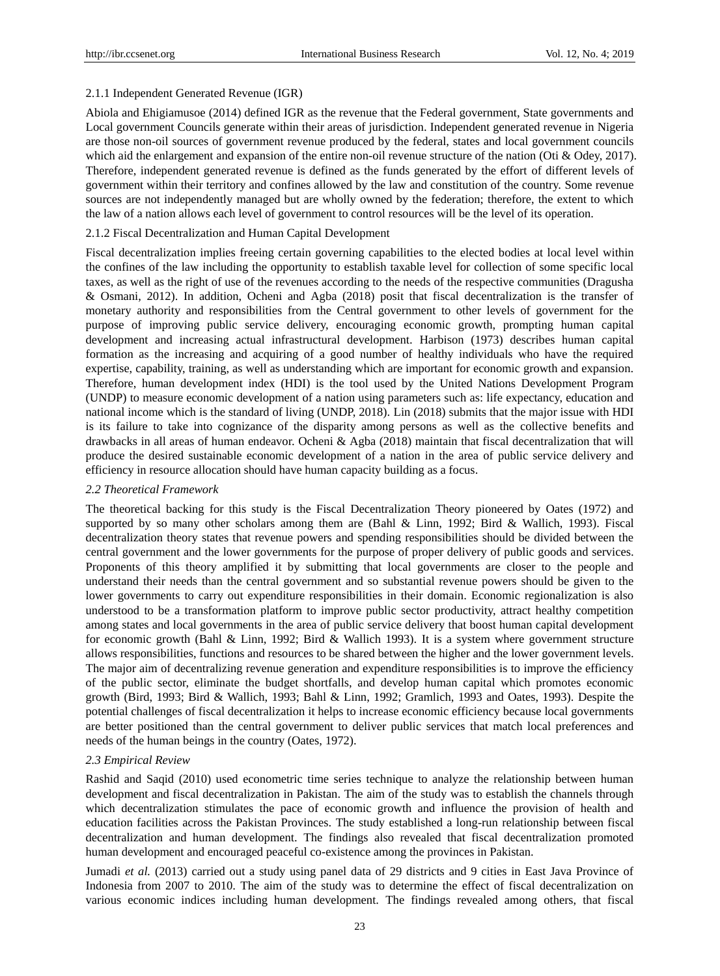#### 2.1.1 Independent Generated Revenue (IGR)

Abiola and Ehigiamusoe (2014) defined IGR as the revenue that the Federal government, State governments and Local government Councils generate within their areas of jurisdiction. Independent generated revenue in Nigeria are those non-oil sources of government revenue produced by the federal, states and local government councils which aid the enlargement and expansion of the entire non-oil revenue structure of the nation (Oti & Odey, 2017). Therefore, independent generated revenue is defined as the funds generated by the effort of different levels of government within their territory and confines allowed by the law and constitution of the country. Some revenue sources are not independently managed but are wholly owned by the federation; therefore, the extent to which the law of a nation allows each level of government to control resources will be the level of its operation.

#### 2.1.2 Fiscal Decentralization and Human Capital Development

Fiscal decentralization implies freeing certain governing capabilities to the elected bodies at local level within the confines of the law including the opportunity to establish taxable level for collection of some specific local taxes, as well as the right of use of the revenues according to the needs of the respective communities (Dragusha & Osmani, 2012). In addition, Ocheni and Agba (2018) posit that fiscal decentralization is the transfer of monetary authority and responsibilities from the Central government to other levels of government for the purpose of improving public service delivery, encouraging economic growth, prompting human capital development and increasing actual infrastructural development. Harbison (1973) describes human capital formation as the increasing and acquiring of a good number of healthy individuals who have the required expertise, capability, training, as well as understanding which are important for economic growth and expansion. Therefore, human development index (HDI) is the tool used by the United Nations Development Program (UNDP) to measure economic development of a nation using parameters such as: life expectancy, education and national income which is the standard of living (UNDP, 2018). Lin (2018) submits that the major issue with HDI is its failure to take into cognizance of the disparity among persons as well as the collective benefits and drawbacks in all areas of human endeavor. Ocheni & Agba (2018) maintain that fiscal decentralization that will produce the desired sustainable economic development of a nation in the area of public service delivery and efficiency in resource allocation should have human capacity building as a focus.

#### *2.2 Theoretical Framework*

The theoretical backing for this study is the Fiscal Decentralization Theory pioneered by Oates (1972) and supported by so many other scholars among them are (Bahl & Linn, 1992; Bird & Wallich, 1993). Fiscal decentralization theory states that revenue powers and spending responsibilities should be divided between the central government and the lower governments for the purpose of proper delivery of public goods and services. Proponents of this theory amplified it by submitting that local governments are closer to the people and understand their needs than the central government and so substantial revenue powers should be given to the lower governments to carry out expenditure responsibilities in their domain. Economic regionalization is also understood to be a transformation platform to improve public sector productivity, attract healthy competition among states and local governments in the area of public service delivery that boost human capital development for economic growth (Bahl & Linn, 1992; Bird & Wallich 1993). It is a system where government structure allows responsibilities, functions and resources to be shared between the higher and the lower government levels. The major aim of decentralizing revenue generation and expenditure responsibilities is to improve the efficiency of the public sector, eliminate the budget shortfalls, and develop human capital which promotes economic growth (Bird, 1993; Bird & Wallich, 1993; Bahl & Linn, 1992; Gramlich, 1993 and Oates, 1993). Despite the potential challenges of fiscal decentralization it helps to increase economic efficiency because local governments are better positioned than the central government to deliver public services that match local preferences and needs of the human beings in the country (Oates, 1972).

#### *2.3 Empirical Review*

Rashid and Saqid (2010) used econometric time series technique to analyze the relationship between human development and fiscal decentralization in Pakistan. The aim of the study was to establish the channels through which decentralization stimulates the pace of economic growth and influence the provision of health and education facilities across the Pakistan Provinces. The study established a long-run relationship between fiscal decentralization and human development. The findings also revealed that fiscal decentralization promoted human development and encouraged peaceful co-existence among the provinces in Pakistan.

Jumadi *et al.* (2013) carried out a study using panel data of 29 districts and 9 cities in East Java Province of Indonesia from 2007 to 2010. The aim of the study was to determine the effect of fiscal decentralization on various economic indices including human development. The findings revealed among others, that fiscal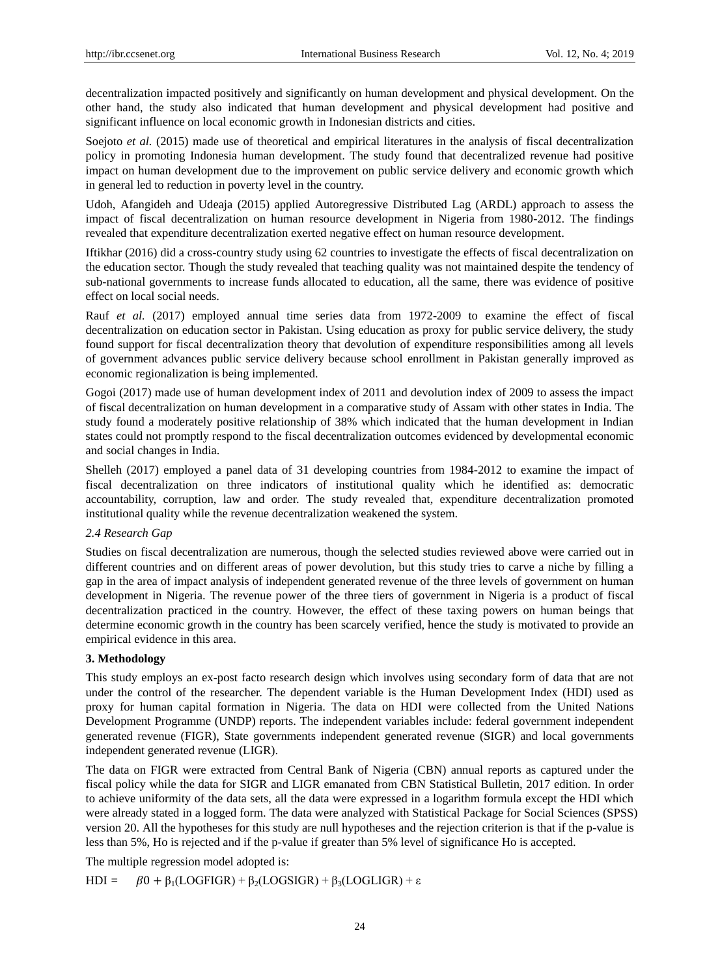decentralization impacted positively and significantly on human development and physical development. On the other hand, the study also indicated that human development and physical development had positive and significant influence on local economic growth in Indonesian districts and cities.

Soejoto *et al.* (2015) made use of theoretical and empirical literatures in the analysis of fiscal decentralization policy in promoting Indonesia human development. The study found that decentralized revenue had positive impact on human development due to the improvement on public service delivery and economic growth which in general led to reduction in poverty level in the country.

Udoh, Afangideh and Udeaja (2015) applied Autoregressive Distributed Lag (ARDL) approach to assess the impact of fiscal decentralization on human resource development in Nigeria from 1980-2012. The findings revealed that expenditure decentralization exerted negative effect on human resource development.

Iftikhar (2016) did a cross-country study using 62 countries to investigate the effects of fiscal decentralization on the education sector. Though the study revealed that teaching quality was not maintained despite the tendency of sub-national governments to increase funds allocated to education, all the same, there was evidence of positive effect on local social needs.

Rauf *et al.* (2017) employed annual time series data from 1972-2009 to examine the effect of fiscal decentralization on education sector in Pakistan. Using education as proxy for public service delivery, the study found support for fiscal decentralization theory that devolution of expenditure responsibilities among all levels of government advances public service delivery because school enrollment in Pakistan generally improved as economic regionalization is being implemented.

Gogoi (2017) made use of human development index of 2011 and devolution index of 2009 to assess the impact of fiscal decentralization on human development in a comparative study of Assam with other states in India. The study found a moderately positive relationship of 38% which indicated that the human development in Indian states could not promptly respond to the fiscal decentralization outcomes evidenced by developmental economic and social changes in India.

Shelleh (2017) employed a panel data of 31 developing countries from 1984-2012 to examine the impact of fiscal decentralization on three indicators of institutional quality which he identified as: democratic accountability, corruption, law and order. The study revealed that, expenditure decentralization promoted institutional quality while the revenue decentralization weakened the system.

# *2.4 Research Gap*

Studies on fiscal decentralization are numerous, though the selected studies reviewed above were carried out in different countries and on different areas of power devolution, but this study tries to carve a niche by filling a gap in the area of impact analysis of independent generated revenue of the three levels of government on human development in Nigeria. The revenue power of the three tiers of government in Nigeria is a product of fiscal decentralization practiced in the country. However, the effect of these taxing powers on human beings that determine economic growth in the country has been scarcely verified, hence the study is motivated to provide an empirical evidence in this area.

#### **3. Methodology**

This study employs an ex-post facto research design which involves using secondary form of data that are not under the control of the researcher. The dependent variable is the Human Development Index (HDI) used as proxy for human capital formation in Nigeria. The data on HDI were collected from the United Nations Development Programme (UNDP) reports. The independent variables include: federal government independent generated revenue (FIGR), State governments independent generated revenue (SIGR) and local governments independent generated revenue (LIGR).

The data on FIGR were extracted from Central Bank of Nigeria (CBN) annual reports as captured under the fiscal policy while the data for SIGR and LIGR emanated from CBN Statistical Bulletin, 2017 edition. In order to achieve uniformity of the data sets, all the data were expressed in a logarithm formula except the HDI which were already stated in a logged form. The data were analyzed with Statistical Package for Social Sciences (SPSS) version 20. All the hypotheses for this study are null hypotheses and the rejection criterion is that if the p-value is less than 5%, Ho is rejected and if the p-value if greater than 5% level of significance Ho is accepted.

The multiple regression model adopted is:

HDI =  $\beta 0 + \beta_1 (LOGFIGR) + \beta_2 (LOGSIGR) + \beta_3 (LOGLIGR) + \varepsilon$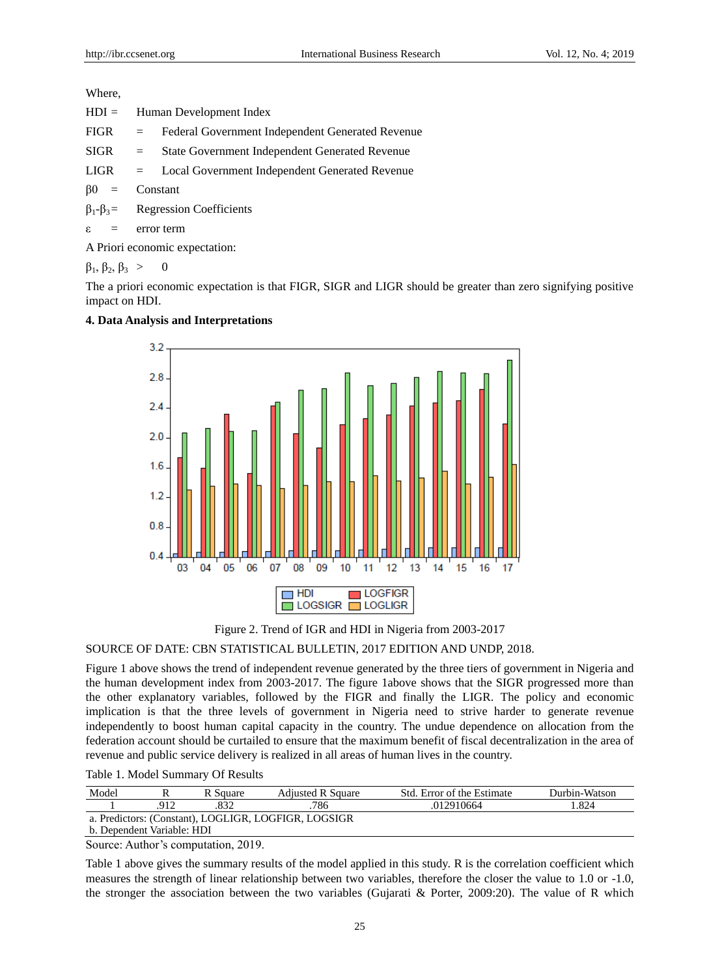Where,

| $HDI =$ | Human Development Index                                 |  |  |  |
|---------|---------------------------------------------------------|--|--|--|
|         | FIGR = Federal Government Independent Generated Revenue |  |  |  |
|         | $SIGR = State Government Independent Generate Revenue$  |  |  |  |
|         | $LIGR = Local Government Independent Generated$ Revenue |  |  |  |
|         | $\beta 0 =$ Constant                                    |  |  |  |
|         | $\beta_1 - \beta_3 =$ Regression Coefficients           |  |  |  |
|         | $\varepsilon$ = error term                              |  |  |  |

A Priori economic expectation:

 $\beta_1, \beta_2, \beta_3 > 0$ 

The a priori economic expectation is that FIGR, SIGR and LIGR should be greater than zero signifying positive impact on HDI.

# **4. Data Analysis and Interpretations**



Figure 2. Trend of IGR and HDI in Nigeria from 2003-2017 SOURCE OF DATE: CBN STATISTICAL BULLETIN, 2017 EDITION AND UNDP, 2018.

Figure 1 above shows the trend of independent revenue generated by the three tiers of government in Nigeria and the human development index from 2003-2017. The figure 1above shows that the SIGR progressed more than the other explanatory variables, followed by the FIGR and finally the LIGR. The policy and economic implication is that the three levels of government in Nigeria need to strive harder to generate revenue independently to boost human capital capacity in the country. The undue dependence on allocation from the federation account should be curtailed to ensure that the maximum benefit of fiscal decentralization in the area of revenue and public service delivery is realized in all areas of human lives in the country.

Table 1. Model Summary Of Results

| Model                                                |  | R Square | <b>Adjusted R Square</b> | Std. Error of the Estimate | Durbin-Watson |
|------------------------------------------------------|--|----------|--------------------------|----------------------------|---------------|
|                                                      |  |          | 786                      | .012910664                 | .824          |
| a. Predictors: (Constant), LOGLIGR, LOGFIGR, LOGSIGR |  |          |                          |                            |               |
| b. Dependent Variable: HDI                           |  |          |                          |                            |               |

Source: Author's computation, 2019.

Table 1 above gives the summary results of the model applied in this study. R is the correlation coefficient which measures the strength of linear relationship between two variables, therefore the closer the value to 1.0 or -1.0, the stronger the association between the two variables (Gujarati & Porter, 2009:20). The value of R which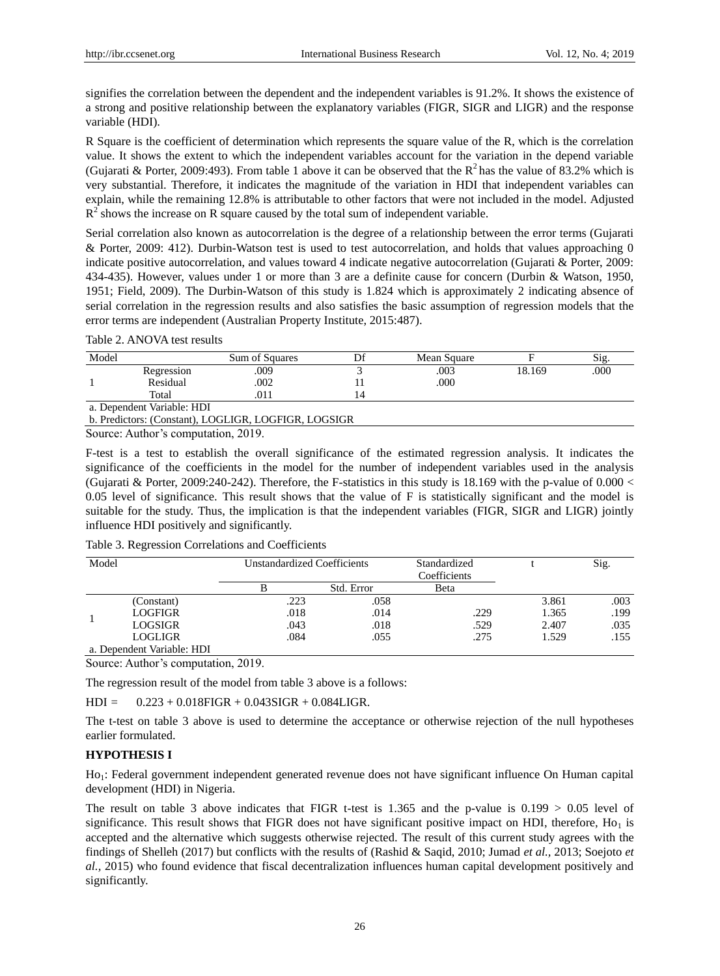signifies the correlation between the dependent and the independent variables is 91.2%. It shows the existence of a strong and positive relationship between the explanatory variables (FIGR, SIGR and LIGR) and the response variable (HDI).

R Square is the coefficient of determination which represents the square value of the R, which is the correlation value. It shows the extent to which the independent variables account for the variation in the depend variable (Gujarati & Porter, 2009:493). From table 1 above it can be observed that the  $R^2$  has the value of 83.2% which is very substantial. Therefore, it indicates the magnitude of the variation in HDI that independent variables can explain, while the remaining 12.8% is attributable to other factors that were not included in the model. Adjusted  $R<sup>2</sup>$  shows the increase on R square caused by the total sum of independent variable.

Serial correlation also known as autocorrelation is the degree of a relationship between the error terms (Gujarati & Porter, 2009: 412). Durbin-Watson test is used to test autocorrelation, and holds that values approaching 0 indicate positive autocorrelation, and values toward 4 indicate negative autocorrelation (Gujarati & Porter, 2009: 434-435). However, values under 1 or more than 3 are a definite cause for concern (Durbin & Watson, 1950, 1951; Field, 2009). The Durbin-Watson of this study is 1.824 which is approximately 2 indicating absence of serial correlation in the regression results and also satisfies the basic assumption of regression models that the error terms are independent (Australian Property Institute, 2015:487).

| Model |                            | Sum of Squares |     | Mean Square |        | Sig. |
|-------|----------------------------|----------------|-----|-------------|--------|------|
|       | Regression                 | .009           |     | .003        | 18.169 | .000 |
|       | Residual                   | .002           |     | .000        |        |      |
|       | Total                      | .011           | l 4 |             |        |      |
|       | a. Dependent Variable: HDI |                |     |             |        |      |

b. Predictors: (Constant), LOGLIGR, LOGFIGR, LOGSIGR

Source: Author's computation, 2019.

F-test is a test to establish the overall significance of the estimated regression analysis. It indicates the significance of the coefficients in the model for the number of independent variables used in the analysis (Gujarati & Porter, 2009:240-242). Therefore, the F-statistics in this study is  $18.169$  with the p-value of 0.000 < 0.05 level of significance. This result shows that the value of F is statistically significant and the model is suitable for the study. Thus, the implication is that the independent variables (FIGR, SIGR and LIGR) jointly influence HDI positively and significantly.

| Table 3. Regression Correlations and Coefficients |  |  |
|---------------------------------------------------|--|--|
|---------------------------------------------------|--|--|

| Model |                            | Unstandardized Coefficients |            | Standardized<br>Coefficients |       | Sig. |
|-------|----------------------------|-----------------------------|------------|------------------------------|-------|------|
|       |                            |                             | Std. Error | Beta                         |       |      |
|       | (Constant)                 | .223                        | .058       |                              | 3.861 | .003 |
|       | LOGFIGR                    | .018                        | .014       | .229                         | 1.365 | .199 |
|       | LOGSIGR                    | .043                        | .018       | .529                         | 2.407 | .035 |
|       | LOGLIGR                    | .084                        | .055       | .275                         | 1.529 | .155 |
|       | a. Dependent Variable: HDI |                             |            |                              |       |      |

Source: Author's computation, 2019.

The regression result of the model from table 3 above is a follows:

 $HDI = 0.223 + 0.018FIGR + 0.043SIGR + 0.084LIGR$ .

The t-test on table 3 above is used to determine the acceptance or otherwise rejection of the null hypotheses earlier formulated.

# **HYPOTHESIS I**

Ho<sub>1</sub>: Federal government independent generated revenue does not have significant influence On Human capital development (HDI) in Nigeria.

The result on table 3 above indicates that FIGR t-test is 1.365 and the p-value is  $0.199 > 0.05$  level of significance. This result shows that FIGR does not have significant positive impact on HDI, therefore,  $Ho_1$  is accepted and the alternative which suggests otherwise rejected. The result of this current study agrees with the findings of Shelleh (2017) but conflicts with the results of (Rashid & Saqid, 2010; Jumad *et al.,* 2013; Soejoto *et al.,* 2015) who found evidence that fiscal decentralization influences human capital development positively and significantly.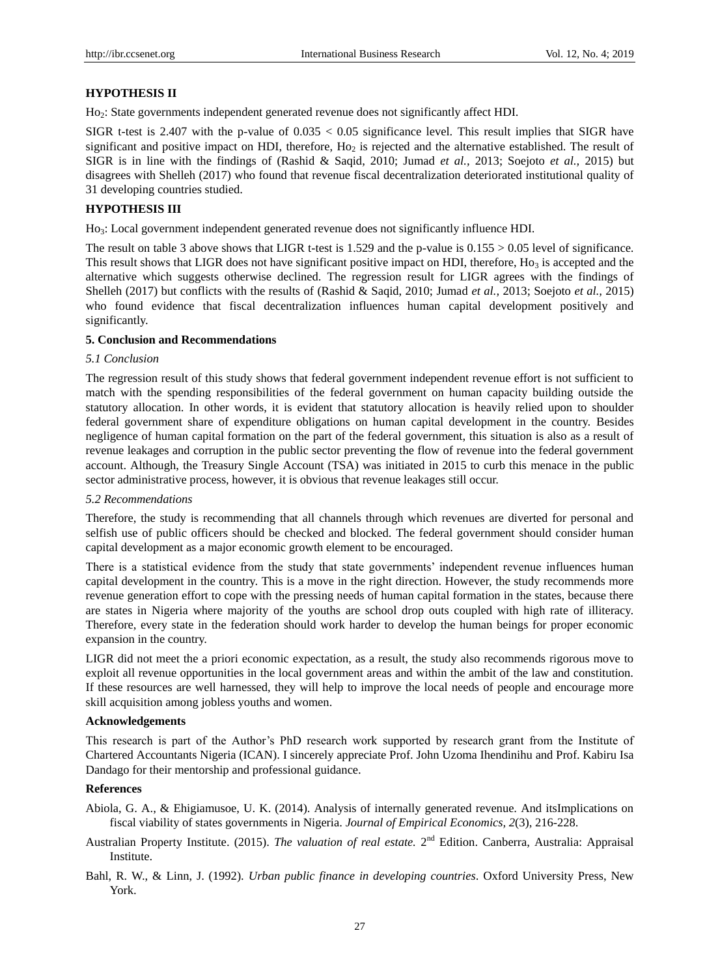## **HYPOTHESIS II**

Ho2: State governments independent generated revenue does not significantly affect HDI.

SIGR t-test is 2.407 with the p-value of 0.035 < 0.05 significance level. This result implies that SIGR have significant and positive impact on HDI, therefore,  $H_0$  is rejected and the alternative established. The result of SIGR is in line with the findings of (Rashid & Saqid, 2010; Jumad *et al.,* 2013; Soejoto *et al.,* 2015) but disagrees with Shelleh (2017) who found that revenue fiscal decentralization deteriorated institutional quality of 31 developing countries studied.

# **HYPOTHESIS III**

Ho3: Local government independent generated revenue does not significantly influence HDI.

The result on table 3 above shows that LIGR t-test is  $1.529$  and the p-value is  $0.155 > 0.05$  level of significance. This result shows that LIGR does not have significant positive impact on HDI, therefore, Ho<sub>3</sub> is accepted and the alternative which suggests otherwise declined. The regression result for LIGR agrees with the findings of Shelleh (2017) but conflicts with the results of (Rashid & Saqid, 2010; Jumad *et al.,* 2013; Soejoto *et al.,* 2015) who found evidence that fiscal decentralization influences human capital development positively and significantly.

#### **5. Conclusion and Recommendations**

# *5.1 Conclusion*

The regression result of this study shows that federal government independent revenue effort is not sufficient to match with the spending responsibilities of the federal government on human capacity building outside the statutory allocation. In other words, it is evident that statutory allocation is heavily relied upon to shoulder federal government share of expenditure obligations on human capital development in the country. Besides negligence of human capital formation on the part of the federal government, this situation is also as a result of revenue leakages and corruption in the public sector preventing the flow of revenue into the federal government account. Although, the Treasury Single Account (TSA) was initiated in 2015 to curb this menace in the public sector administrative process, however, it is obvious that revenue leakages still occur.

#### *5.2 Recommendations*

Therefore, the study is recommending that all channels through which revenues are diverted for personal and selfish use of public officers should be checked and blocked. The federal government should consider human capital development as a major economic growth element to be encouraged.

There is a statistical evidence from the study that state governments' independent revenue influences human capital development in the country. This is a move in the right direction. However, the study recommends more revenue generation effort to cope with the pressing needs of human capital formation in the states, because there are states in Nigeria where majority of the youths are school drop outs coupled with high rate of illiteracy. Therefore, every state in the federation should work harder to develop the human beings for proper economic expansion in the country.

LIGR did not meet the a priori economic expectation, as a result, the study also recommends rigorous move to exploit all revenue opportunities in the local government areas and within the ambit of the law and constitution. If these resources are well harnessed, they will help to improve the local needs of people and encourage more skill acquisition among jobless youths and women.

#### **Acknowledgements**

This research is part of the Author's PhD research work supported by research grant from the Institute of Chartered Accountants Nigeria (ICAN). I sincerely appreciate Prof. John Uzoma Ihendinihu and Prof. Kabiru Isa Dandago for their mentorship and professional guidance.

## **References**

- Abiola, G. A., & Ehigiamusoe, U. K. (2014). Analysis of internally generated revenue. And itsImplications on fiscal viability of states governments in Nigeria. *Journal of Empirical Economics, 2*(3), 216-228.
- Australian Property Institute. (2015). *The valuation of real estate*. 2<sup>nd</sup> Edition. Canberra, Australia: Appraisal Institute.
- Bahl, R. W., & Linn, J. (1992). *Urban public finance in developing countries*. Oxford University Press, New York.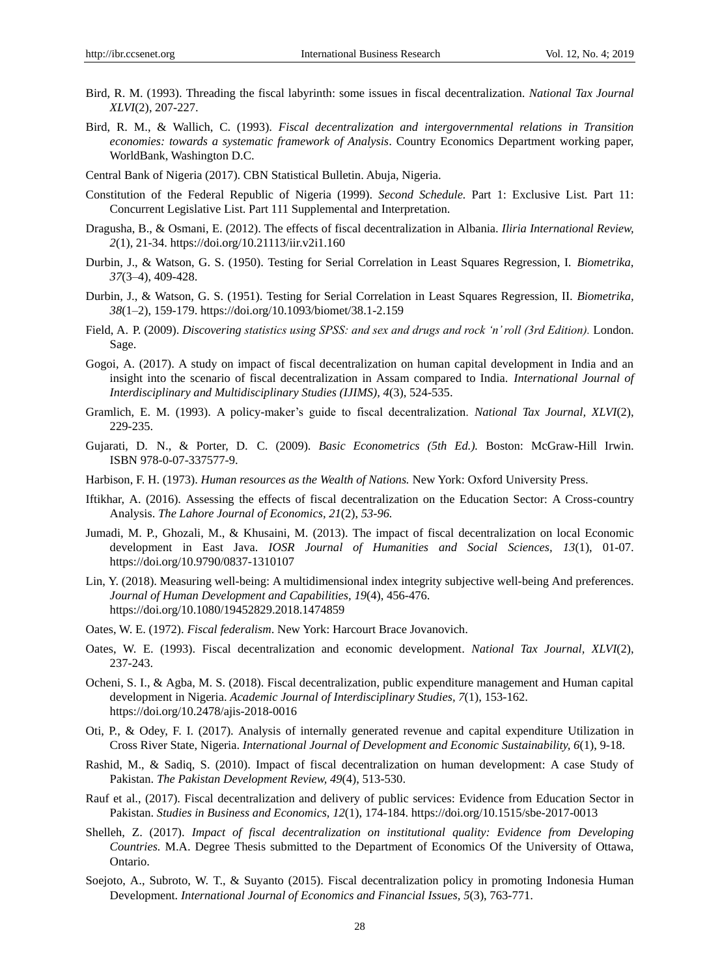- Bird, R. M. (1993). Threading the fiscal labyrinth: some issues in fiscal decentralization. *National Tax Journal XLVI*(2), 207-227.
- Bird, R. M., & Wallich, C. (1993). *Fiscal decentralization and intergovernmental relations in Transition economies: towards a systematic framework of Analysis*. Country Economics Department working paper, WorldBank, Washington D.C.
- Central Bank of Nigeria (2017). CBN Statistical Bulletin. Abuja, Nigeria.
- Constitution of the Federal Republic of Nigeria (1999). *Second Schedule.* Part 1: Exclusive List. Part 11: Concurrent Legislative List. Part 111 Supplemental and Interpretation.
- Dragusha, B., & Osmani, E. (2012). The effects of fiscal decentralization in Albania. *Iliria International Review, 2*(1), 21-34. https://doi.org/10.21113/iir.v2i1.160
- Durbin, J., & Watson, G. S. (1950). Testing for Serial Correlation in Least Squares Regression, I. *[Biometrika,](https://en.wikipedia.org/wiki/Biometrika) 37*(3–4), 409-428.
- Durbin, J., & Watson, G. S. (1951). Testing for Serial Correlation in Least Squares Regression, II. *Biometrika, 38*(1–2), 159-179. https://doi.org/10.1093/biomet/38.1-2.159
- Field, A. P. (2009). *Discovering statistics using SPSS: and sex and drugs and rock 'n' roll (3rd Edition).* London. Sage.
- Gogoi, A. (2017). A study on impact of fiscal decentralization on human capital development in India and an insight into the scenario of fiscal decentralization in Assam compared to India. *International Journal of Interdisciplinary and Multidisciplinary Studies (IJIMS), 4*(3), 524-535.
- Gramlich, E. M. (1993). A policy-maker's guide to fiscal decentralization. *National Tax Journal, XLVI*(2), 229-235.
- Gujarati, D. N., & Porter, D. C. (2009). *[Basic Econometrics](https://books.google.com/books?id=6l1CPgAACAAJ) (5th Ed.).* Boston: McGraw-Hill Irwin. [ISBN](https://en.wikipedia.org/wiki/International_Standard_Book_Number) [978-0-07-337577-9.](https://en.wikipedia.org/wiki/Special:BookSources/978-0-07-337577-9)
- Harbison, F. H. (1973). *Human resources as the Wealth of Nations.* New York: Oxford University Press.
- Iftikhar, A. (2016). Assessing the effects of fiscal decentralization on the Education Sector: A Cross-country Analysis. *The Lahore Journal of Economics, 21*(2), *53-96.*
- Jumadi, M. P., Ghozali, M., & Khusaini, M. (2013). The impact of fiscal decentralization on local Economic development in East Java. *IOSR Journal of Humanities and Social Sciences, 13*(1), 01-07. https://doi.org/10.9790/0837-1310107
- Lin, Y. (2018). Measuring well-being: A multidimensional index integrity subjective well-being And preferences. *Journal of Human Development and Capabilities, 19*(4), 456-476. https://doi.org/10.1080/19452829.2018.1474859
- Oates, W. E. (1972). *Fiscal federalism*. New York: Harcourt Brace Jovanovich.
- Oates, W. E. (1993). Fiscal decentralization and economic development. *National Tax Journal, XLVI*(2), 237-243.
- Ocheni, S. I., & Agba, M. S. (2018). Fiscal decentralization, public expenditure management and Human capital development in Nigeria. *Academic Journal of Interdisciplinary Studies, 7*(1), 153-162. https://doi.org/10.2478/ajis-2018-0016
- Oti, P., & Odey, F. I. (2017). Analysis of internally generated revenue and capital expenditure Utilization in Cross River State, Nigeria. *International Journal of Development and Economic Sustainability, 6*(1), 9-18.
- Rashid, M., & Sadiq, S. (2010). Impact of fiscal decentralization on human development: A case Study of Pakistan. *The Pakistan Development Review, 49*(4), 513-530.
- Rauf et al., (2017). Fiscal decentralization and delivery of public services: Evidence from Education Sector in Pakistan. *Studies in Business and Economics, 12*(1), 174-184. https://doi.org/10.1515/sbe-2017-0013
- Shelleh, Z. (2017). *Impact of fiscal decentralization on institutional quality: Evidence from Developing Countries.* M.A. Degree Thesis submitted to the Department of Economics Of the University of Ottawa, Ontario.
- Soejoto, A., Subroto, W. T., & Suyanto (2015). Fiscal decentralization policy in promoting Indonesia Human Development. *International Journal of Economics and Financial Issues, 5*(3), 763-771.